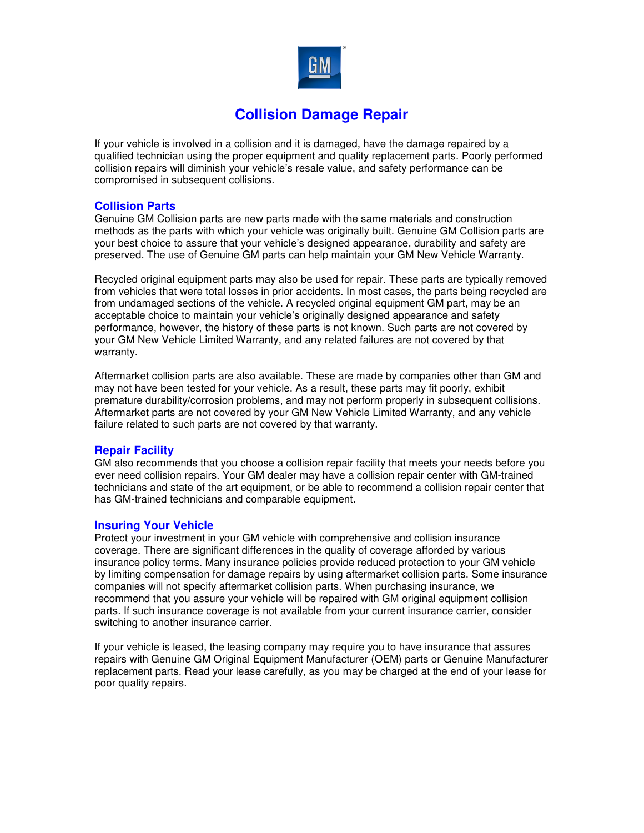

# **Collision Damage Repair**

If your vehicle is involved in a collision and it is damaged, have the damage repaired by a qualified technician using the proper equipment and quality replacement parts. Poorly performed collision repairs will diminish your vehicle's resale value, and safety performance can be compromised in subsequent collisions.

### **Collision Parts**

Genuine GM Collision parts are new parts made with the same materials and construction methods as the parts with which your vehicle was originally built. Genuine GM Collision parts are your best choice to assure that your vehicle's designed appearance, durability and safety are preserved. The use of Genuine GM parts can help maintain your GM New Vehicle Warranty.

Recycled original equipment parts may also be used for repair. These parts are typically removed from vehicles that were total losses in prior accidents. In most cases, the parts being recycled are from undamaged sections of the vehicle. A recycled original equipment GM part, may be an acceptable choice to maintain your vehicle's originally designed appearance and safety performance, however, the history of these parts is not known. Such parts are not covered by your GM New Vehicle Limited Warranty, and any related failures are not covered by that warranty.

Aftermarket collision parts are also available. These are made by companies other than GM and may not have been tested for your vehicle. As a result, these parts may fit poorly, exhibit premature durability/corrosion problems, and may not perform properly in subsequent collisions. Aftermarket parts are not covered by your GM New Vehicle Limited Warranty, and any vehicle failure related to such parts are not covered by that warranty.

## **Repair Facility**

GM also recommends that you choose a collision repair facility that meets your needs before you ever need collision repairs. Your GM dealer may have a collision repair center with GM-trained technicians and state of the art equipment, or be able to recommend a collision repair center that has GM-trained technicians and comparable equipment.

#### **Insuring Your Vehicle**

Protect your investment in your GM vehicle with comprehensive and collision insurance coverage. There are significant differences in the quality of coverage afforded by various insurance policy terms. Many insurance policies provide reduced protection to your GM vehicle by limiting compensation for damage repairs by using aftermarket collision parts. Some insurance companies will not specify aftermarket collision parts. When purchasing insurance, we recommend that you assure your vehicle will be repaired with GM original equipment collision parts. If such insurance coverage is not available from your current insurance carrier, consider switching to another insurance carrier.

If your vehicle is leased, the leasing company may require you to have insurance that assures repairs with Genuine GM Original Equipment Manufacturer (OEM) parts or Genuine Manufacturer replacement parts. Read your lease carefully, as you may be charged at the end of your lease for poor quality repairs.